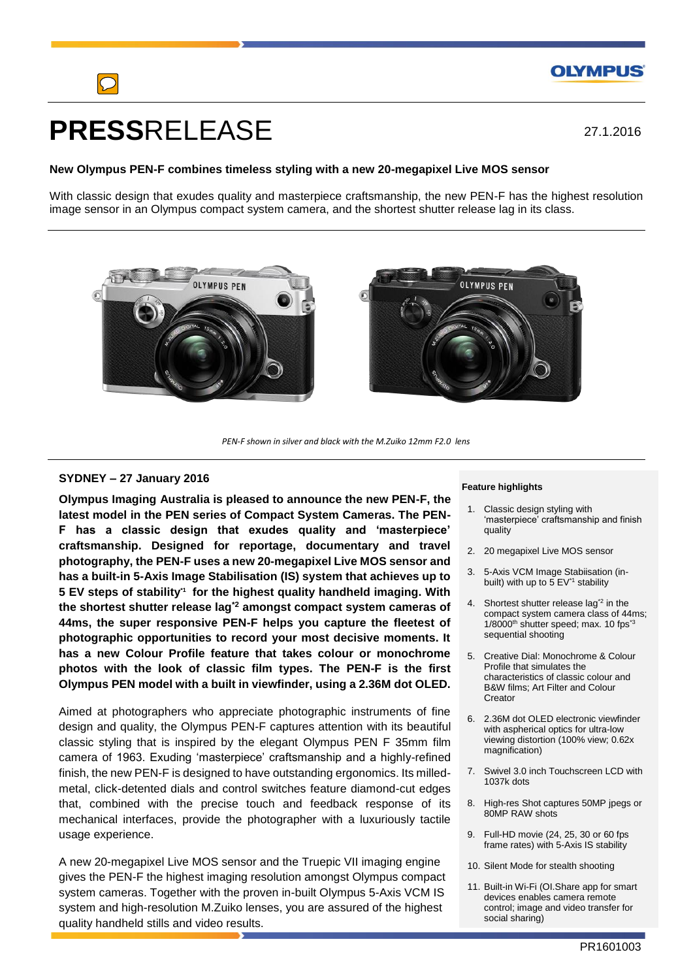

# **PRESS**RELEASE

27.1.2016

# **New Olympus PEN-F combines timeless styling with a new 20-megapixel Live MOS sensor**

With classic design that exudes quality and masterpiece craftsmanship, the new PEN-F has the highest resolution image sensor in an Olympus compact system camera, and the shortest shutter release lag in its class.





*PEN-F shown in silver and black with the M.Zuiko 12mm F2.0 lens*

## **SYDNEY – 27 January 2016**

**Olympus Imaging Australia is pleased to announce the new PEN-F, the latest model in the PEN series of Compact System Cameras. The PEN-F has a classic design that exudes quality and 'masterpiece' craftsmanship. Designed for reportage, documentary and travel photography, the PEN-F uses a new 20-megapixel Live MOS sensor and has a built-in 5-Axis Image Stabilisation (IS) system that achieves up to 5 EV steps of stability\*1 for the highest quality handheld imaging. With the shortest shutter release lag\*2 amongst compact system cameras of 44ms, the super responsive PEN-F helps you capture the fleetest of photographic opportunities to record your most decisive moments. It has a new Colour Profile feature that takes colour or monochrome photos with the look of classic film types. The PEN-F is the first Olympus PEN model with a built in viewfinder, using a 2.36M dot OLED.**

Aimed at photographers who appreciate photographic instruments of fine design and quality, the Olympus PEN-F captures attention with its beautiful classic styling that is inspired by the elegant Olympus PEN F 35mm film camera of 1963. Exuding 'masterpiece' craftsmanship and a highly-refined finish, the new PEN-F is designed to have outstanding ergonomics. Its milledmetal, click-detented dials and control switches feature diamond-cut edges that, combined with the precise touch and feedback response of its mechanical interfaces, provide the photographer with a luxuriously tactile usage experience.

A new 20-megapixel Live MOS sensor and the Truepic VII imaging engine gives the PEN-F the highest imaging resolution amongst Olympus compact system cameras. Together with the proven in-built Olympus 5-Axis VCM IS system and high-resolution M.Zuiko lenses, you are assured of the highest quality handheld stills and video results.

#### **Feature highlights**

- 1. Classic design styling with 'masterpiece' craftsmanship and finish quality
- 2. 20 megapixel Live MOS sensor
- 3. 5-Axis VCM Image Stabiisation (inbuilt) with up to  $5$  EV<sup>\*1</sup> stability
- 4. Shortest shutter release lag<sup>\*2</sup> in the compact system camera class of 44ms; 1/8000<sup>th</sup> shutter speed; max. 10 fps<sup>\*3</sup> sequential shooting
- 5. Creative Dial: Monochrome & Colour Profile that simulates the characteristics of classic colour and B&W films; Art Filter and Colour Creator
- 6. 2.36M dot OLED electronic viewfinder with aspherical optics for ultra-low viewing distortion (100% view; 0.62x magnification)
- 7. Swivel 3.0 inch Touchscreen LCD with 1037k dots
- 8. High-res Shot captures 50MP jpegs or 80MP RAW shots
- 9. Full-HD movie (24, 25, 30 or 60 fps frame rates) with 5-Axis IS stability
- 10. Silent Mode for stealth shooting
- 11. Built-in Wi-Fi (OI.Share app for smart devices enables camera remote control; image and video transfer for social sharing)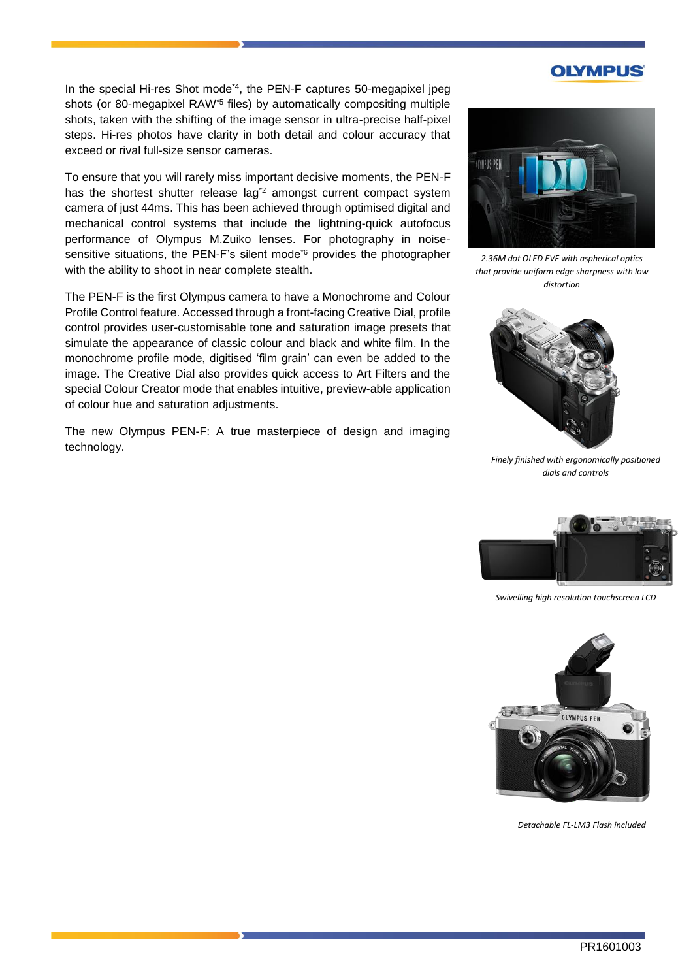# **OLYMPUS**

In the special Hi-res Shot mode<sup>\*4</sup>, the PEN-F captures 50-megapixel jpeg shots (or 80-megapixel RAW\*5 files) by automatically compositing multiple shots, taken with the shifting of the image sensor in ultra-precise half-pixel steps. Hi-res photos have clarity in both detail and colour accuracy that exceed or rival full-size sensor cameras.

To ensure that you will rarely miss important decisive moments, the PEN-F has the shortest shutter release lag<sup>\*2</sup> amongst current compact system camera of just 44ms. This has been achieved through optimised digital and mechanical control systems that include the lightning-quick autofocus performance of Olympus M.Zuiko lenses. For photography in noisesensitive situations, the PEN-F's silent mode<sup>\*6</sup> provides the photographer with the ability to shoot in near complete stealth.

The PEN-F is the first Olympus camera to have a Monochrome and Colour Profile Control feature. Accessed through a front-facing Creative Dial, profile control provides user-customisable tone and saturation image presets that simulate the appearance of classic colour and black and white film. In the monochrome profile mode, digitised 'film grain' can even be added to the image. The Creative Dial also provides quick access to Art Filters and the special Colour Creator mode that enables intuitive, preview-able application of colour hue and saturation adjustments.

The new Olympus PEN-F: A true masterpiece of design and imaging technology.



*2.36M dot OLED EVF with aspherical optics that provide uniform edge sharpness with low distortion*



*Finely finished with ergonomically positioned dials and controls*



*Swivelling high resolution touchscreen LCD*



*Detachable FL-LM3 Flash included*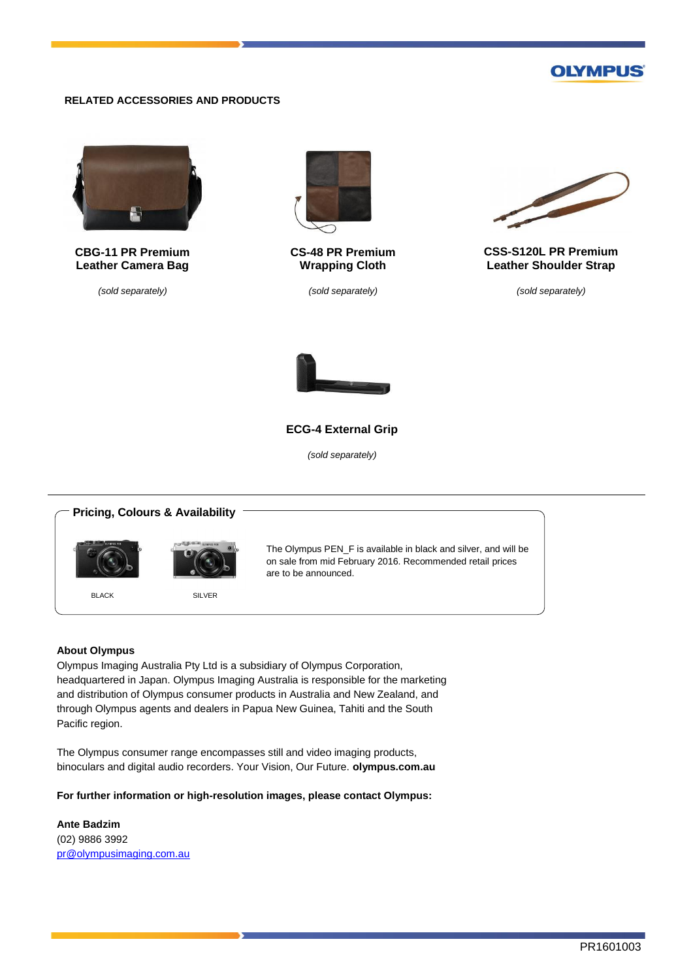# **OLYMPUS**

## **RELATED ACCESSORIES AND PRODUCTS**



**CBG-11 PR Premium Leather Camera Bag**

*(sold separately)*



**CS-48 PR Premium Wrapping Cloth**

*(sold separately)*



**CSS-S120L PR Premium Leather Shoulder Strap**

*(sold separately)*



#### **ECG-4 External Grip**

*(sold separately)*

# **Pricing, Colours & Availability** The Olympus PEN\_F is available in black and silver, and will be on sale from mid February 2016. Recommended retail prices are to be announced. BLACK SILVER

#### **About Olympus**

Olympus Imaging Australia Pty Ltd is a subsidiary of Olympus Corporation, headquartered in Japan. Olympus Imaging Australia is responsible for the marketing and distribution of Olympus consumer products in Australia and New Zealand, and through Olympus agents and dealers in Papua New Guinea, Tahiti and the South Pacific region.

The Olympus consumer range encompasses still and video imaging products, binoculars and digital audio recorders. Your Vision, Our Future. **olympus.com.au**

**For further information or high-resolution images, please contact Olympus:**

**Ante Badzim** (02) 9886 3992 [pr@olympusimaging.com.au](mailto:pr@olympusimaging.com.au)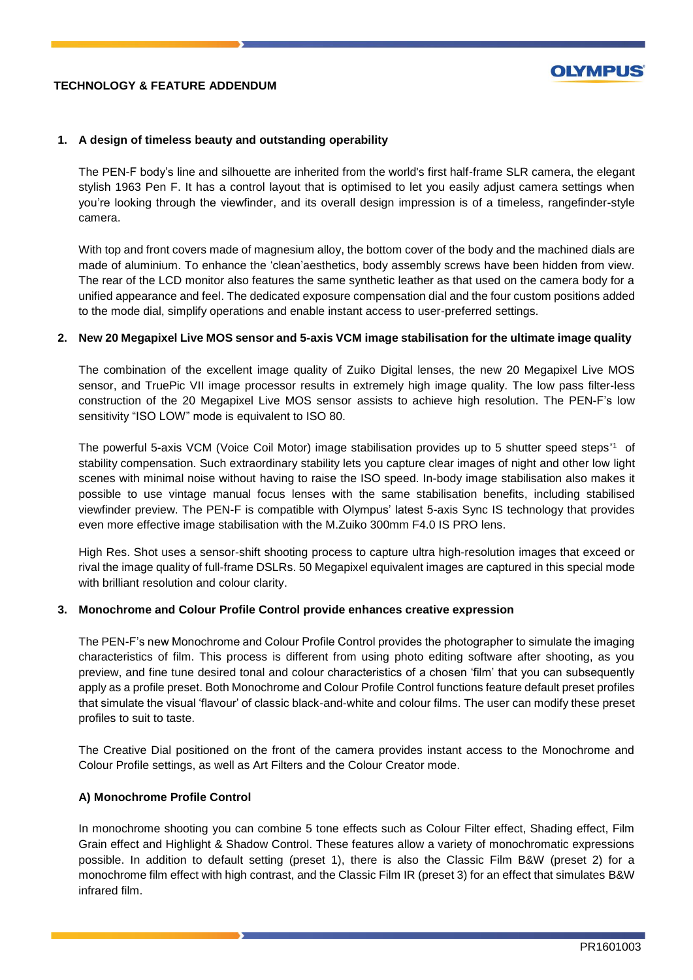# **TECHNOLOGY & FEATURE ADDENDUM**



## **1. A design of timeless beauty and outstanding operability**

The PEN-F body's line and silhouette are inherited from the world's first half-frame SLR camera, the elegant stylish 1963 Pen F. It has a control layout that is optimised to let you easily adjust camera settings when you're looking through the viewfinder, and its overall design impression is of a timeless, rangefinder-style camera.

With top and front covers made of magnesium alloy, the bottom cover of the body and the machined dials are made of aluminium. To enhance the 'clean'aesthetics, body assembly screws have been hidden from view. The rear of the LCD monitor also features the same synthetic leather as that used on the camera body for a unified appearance and feel. The dedicated exposure compensation dial and the four custom positions added to the mode dial, simplify operations and enable instant access to user-preferred settings.

#### **2. New 20 Megapixel Live MOS sensor and 5-axis VCM image stabilisation for the ultimate image quality**

The combination of the excellent image quality of Zuiko Digital lenses, the new 20 Megapixel Live MOS sensor, and TruePic VII image processor results in extremely high image quality. The low pass filter-less construction of the 20 Megapixel Live MOS sensor assists to achieve high resolution. The PEN-F's low sensitivity "ISO LOW" mode is equivalent to ISO 80.

The powerful 5-axis VCM (Voice Coil Motor) image stabilisation provides up to 5 shutter speed steps<sup>\*1</sup> of stability compensation. Such extraordinary stability lets you capture clear images of night and other low light scenes with minimal noise without having to raise the ISO speed. In-body image stabilisation also makes it possible to use vintage manual focus lenses with the same stabilisation benefits, including stabilised viewfinder preview. The PEN-F is compatible with Olympus' latest 5-axis Sync IS technology that provides even more effective image stabilisation with the M.Zuiko 300mm F4.0 IS PRO lens.

High Res. Shot uses a sensor-shift shooting process to capture ultra high-resolution images that exceed or rival the image quality of full-frame DSLRs. 50 Megapixel equivalent images are captured in this special mode with brilliant resolution and colour clarity.

#### **3. Monochrome and Colour Profile Control provide enhances creative expression**

The PEN-F's new Monochrome and Colour Profile Control provides the photographer to simulate the imaging characteristics of film. This process is different from using photo editing software after shooting, as you preview, and fine tune desired tonal and colour characteristics of a chosen 'film' that you can subsequently apply as a profile preset. Both Monochrome and Colour Profile Control functions feature default preset profiles that simulate the visual 'flavour' of classic black-and-white and colour films. The user can modify these preset profiles to suit to taste.

The Creative Dial positioned on the front of the camera provides instant access to the Monochrome and Colour Profile settings, as well as Art Filters and the Colour Creator mode.

# **A) Monochrome Profile Control**

In monochrome shooting you can combine 5 tone effects such as Colour Filter effect, Shading effect, Film Grain effect and Highlight & Shadow Control. These features allow a variety of monochromatic expressions possible. In addition to default setting (preset 1), there is also the Classic Film B&W (preset 2) for a monochrome film effect with high contrast, and the Classic Film IR (preset 3) for an effect that simulates B&W infrared film.